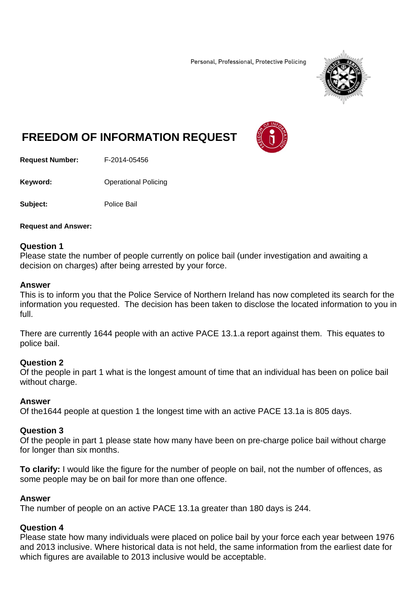Personal, Professional, Protective Policing



# **FREEDOM OF INFORMATION REQUEST**

**Request Number:** F-2014-05456

**Keyword: C**Derational Policing

**Subject:** Police Bail

**Request and Answer:** 

### **Question 1**

Please state the number of people currently on police bail (under investigation and awaiting a decision on charges) after being arrested by your force.

#### **Answer**

This is to inform you that the Police Service of Northern Ireland has now completed its search for the information you requested. The decision has been taken to disclose the located information to you in full.

There are currently 1644 people with an active PACE 13.1.a report against them. This equates to police bail.

#### **Question 2**

Of the people in part 1 what is the longest amount of time that an individual has been on police bail without charge.

#### **Answer**

Of the1644 people at question 1 the longest time with an active PACE 13.1a is 805 days.

#### **Question 3**

Of the people in part 1 please state how many have been on pre-charge police bail without charge for longer than six months.

**To clarify:** I would like the figure for the number of people on bail, not the number of offences, as some people may be on bail for more than one offence.

#### **Answer**

The number of people on an active PACE 13.1a greater than 180 days is 244.

#### **Question 4**

Please state how many individuals were placed on police bail by your force each year between 1976 and 2013 inclusive. Where historical data is not held, the same information from the earliest date for which figures are available to 2013 inclusive would be acceptable.